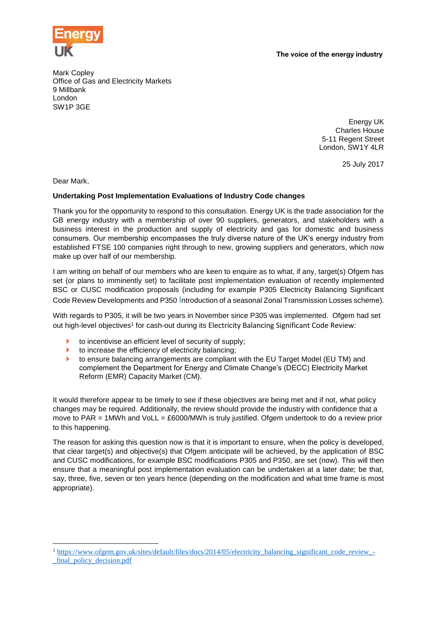

The voice of the energy industry

Mark Copley Office of Gas and Electricity Markets 9 Millbank London SW1P 3GE

> Energy UK Charles House 5-11 Regent Street London, SW1Y 4LR

> > 25 July 2017

Dear Mark,

1

## **Undertaking Post Implementation Evaluations of Industry Code changes**

Thank you for the opportunity to respond to this consultation. Energy UK is the trade association for the GB energy industry with a membership of over 90 suppliers, generators, and stakeholders with a business interest in the production and supply of electricity and gas for domestic and business consumers. Our membership encompasses the truly diverse nature of the UK's energy industry from established FTSE 100 companies right through to new, growing suppliers and generators, which now make up over half of our membership.

I am writing on behalf of our members who are keen to enquire as to what, if any, target(s) Ofgem has set (or plans to imminently set) to facilitate post implementation evaluation of recently implemented BSC or CUSC modification proposals (including for example P305 Electricity Balancing Significant Code Review Developments and P350 Introduction of a seasonal Zonal Transmission Losses scheme).

With regards to P305, it will be two years in November since P305 was implemented. Ofgem had set out high-level objectives<sup>1</sup> for cash-out during its Electricity Balancing Significant Code Review:

- to incentivise an efficient level of security of supply;
- $\triangleright$  to increase the efficiency of electricity balancing;
- ▶ to ensure balancing arrangements are compliant with the EU Target Model (EU TM) and complement the Department for Energy and Climate Change's (DECC) Electricity Market Reform (EMR) Capacity Market (CM).

It would therefore appear to be timely to see if these objectives are being met and if not, what policy changes may be required. Additionally, the review should provide the industry with confidence that a move to PAR = 1MWh and VoLL = £6000/MWh is truly justified. Ofgem undertook to do a review prior to this happening.

The reason for asking this question now is that it is important to ensure, when the policy is developed, that clear target(s) and objective(s) that Ofgem anticipate will be achieved, by the application of BSC and CUSC modifications, for example BSC modifications P305 and P350, are set (now). This will then ensure that a meaningful post implementation evaluation can be undertaken at a later date; be that, say, three, five, seven or ten years hence (depending on the modification and what time frame is most appropriate).

<sup>&</sup>lt;sup>1</sup> [https://www.ofgem.gov.uk/sites/default/files/docs/2014/05/electricity\\_balancing\\_significant\\_code\\_review\\_-](https://www.ofgem.gov.uk/sites/default/files/docs/2014/05/electricity_balancing_significant_code_review_-_final_policy_decision.pdf) [\\_final\\_policy\\_decision.pdf](https://www.ofgem.gov.uk/sites/default/files/docs/2014/05/electricity_balancing_significant_code_review_-_final_policy_decision.pdf)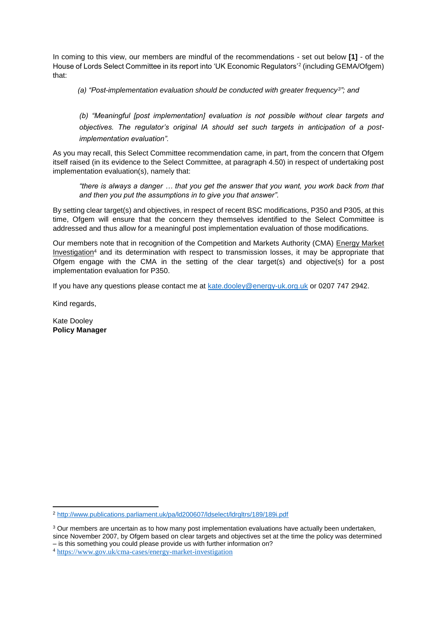In coming to this view, our members are mindful of the recommendations - set out below **[1]** - of the House of Lords Select Committee in its report into 'UK Economic Regulators'<sup>2</sup> (including GEMA/Ofgem) that:

*(a) "Post-implementation evaluation should be conducted with greater frequency<sup>3</sup> "; and*

*(b) "Meaningful [post implementation] evaluation is not possible without clear targets and objectives. The regulator's original IA should set such targets in anticipation of a postimplementation evaluation".* 

As you may recall, this Select Committee recommendation came, in part, from the concern that Ofgem itself raised (in its evidence to the Select Committee, at paragraph 4.50) in respect of undertaking post implementation evaluation(s), namely that:

*"there is always a danger … that you get the answer that you want, you work back from that and then you put the assumptions in to give you that answer".*

By setting clear target(s) and objectives, in respect of recent BSC modifications, P350 and P305, at this time, Ofgem will ensure that the concern they themselves identified to the Select Committee is addressed and thus allow for a meaningful post implementation evaluation of those modifications.

Our members note that in recognition of the Competition and Markets Authority (CMA) [Energy Market](https://www.gov.uk/cma-cases/energy-market-investigation)  [Investigation](https://www.gov.uk/cma-cases/energy-market-investigation)<sup>4</sup> and its determination with respect to transmission losses, it may be appropriate that Ofgem engage with the CMA in the setting of the clear target(s) and objective(s) for a post implementation evaluation for P350.

If you have any questions please contact me at [kate.dooley@energy-uk.org.uk](mailto:kate.dooley@energy-uk.org.uk) or 0207 747 2942.

Kind regards,

 $\overline{a}$ 

Kate Dooley **Policy Manager**

<sup>2</sup> <http://www.publications.parliament.uk/pa/ld200607/ldselect/ldrgltrs/189/189i.pdf>

<sup>&</sup>lt;sup>3</sup> Our members are uncertain as to how many post implementation evaluations have actually been undertaken, since November 2007, by Ofgem based on clear targets and objectives set at the time the policy was determined – is this something you could please provide us with further information on?

<sup>4</sup> <https://www.gov.uk/cma-cases/energy-market-investigation>